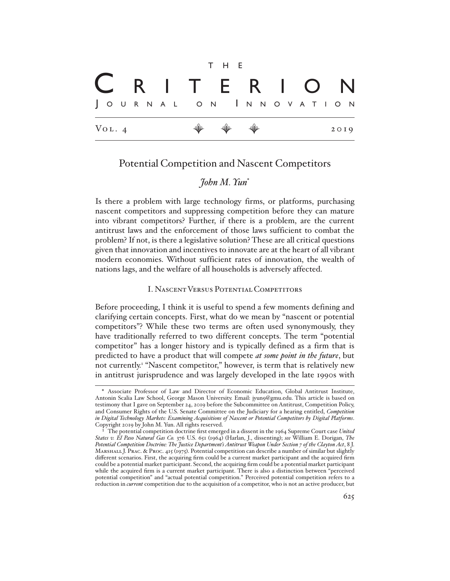|                     |  |  |  |  |  |                       |  | T H E                                                                |  |  |  |  |  |                   |  |      |  |  |
|---------------------|--|--|--|--|--|-----------------------|--|----------------------------------------------------------------------|--|--|--|--|--|-------------------|--|------|--|--|
|                     |  |  |  |  |  |                       |  |                                                                      |  |  |  |  |  | C R I T E R I O N |  |      |  |  |
|                     |  |  |  |  |  | JOURNAL ON INNOVATION |  |                                                                      |  |  |  |  |  |                   |  |      |  |  |
| $V_{\text{OL}}$ . 4 |  |  |  |  |  |                       |  | $\begin{array}{ccccccccccccc} \psi & \psi & \psi & \psi \end{array}$ |  |  |  |  |  |                   |  | 2019 |  |  |

## Potential Competition and Nascent Competitors

# *John M. Yun*\*

Is there a problem with large technology firms, or platforms, purchasing nascent competitors and suppressing competition before they can mature into vibrant competitors? Further, if there is a problem, are the current antitrust laws and the enforcement of those laws sufficient to combat the problem? If not, is there a legislative solution? These are all critical questions given that innovation and incentives to innovate are at the heart of all vibrant modern economies. Without sufficient rates of innovation, the wealth of nations lags, and the welfare of all households is adversely affected.

#### I. Nascent Versus Potential Competitors

Before proceeding, I think it is useful to spend a few moments defining and clarifying certain concepts. First, what do we mean by "nascent or potential competitors"? While these two terms are often used synonymously, they have traditionally referred to two different concepts. The term "potential competitor" has a longer history and is typically defined as a firm that is predicted to have a product that will compete *at some point in the future*, but not currently.<sup>1</sup> "Nascent competitor," however, is term that is relatively new in antitrust jurisprudence and was largely developed in the late 1990s with

<sup>\*</sup> Associate Professor of Law and Director of Economic Education, Global Antitrust Institute, Antonin Scalia Law School, George Mason University. Email: jyun9@gmu.edu. This article is based on testimony that I gave on September 24, 2019 before the Subcommittee on Antitrust, Competition Policy, and Consumer Rights of the U.S. Senate Committee on the Judiciary for a hearing entitled, *Competition in Digital Technology Markets: Examining Acquisitions of Nascent or Potential Competitors by Digital Platforms*. Copyright 2019 by John M. Yun. All rights reserved.

<sup>1</sup> The potential competition doctrine first emerged in a dissent in the 1964 Supreme Court case *United States v. El Paso Natural Gas Co.* 376 U.S. 651 (1964) (Harlan, J., dissenting); *see* William E. Dorigan, *The Potential Competition Doctrine: The Justice Department's Antitrust Weapon Under Section 7 of the Clayton Act*, 8 J. Marshall J. Prac. & Proc. 415 (1975). Potential competition can describe a number of similar but slightly different scenarios. First, the acquiring firm could be a current market participant and the acquired firm could be a potential market participant. Second, the acquiring firm could be a potential market participant while the acquired firm is a current market participant. There is also a distinction between "perceived potential competition" and "actual potential competition." Perceived potential competition refers to a reduction in *current* competition due to the acquisition of a competitor, who is not an active producer, but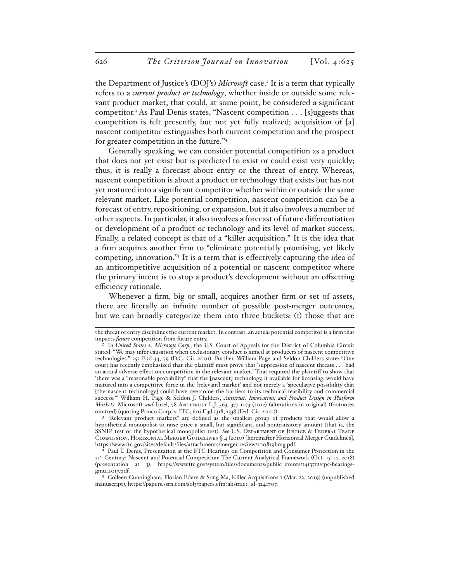the Department of Justice's (DOJ's) *Microsoft* case.2 It is a term that typically refers to a *current product or technology*, whether inside or outside some relevant product market, that could, at some point, be considered a significant competitor.3 As Paul Denis states, "Nascent competition . . . [s]uggests that competition is felt presently, but not yet fully realized; acquisition of [a] nascent competitor extinguishes both current competition and the prospect for greater competition in the future."4

Generally speaking, we can consider potential competition as a product that does not yet exist but is predicted to exist or could exist very quickly; thus, it is really a forecast about entry or the threat of entry. Whereas, nascent competition is about a product or technology that exists but has not yet matured into a significant competitor whether within or outside the same relevant market. Like potential competition, nascent competition can be a forecast of entry, repositioning, or expansion, but it also involves a number of other aspects. In particular, it also involves a forecast of future differentiation or development of a product or technology and its level of market success. Finally, a related concept is that of a "killer acquisition." It is the idea that a firm acquires another firm to "eliminate potentially promising, yet likely competing, innovation."5 It is a term that is effectively capturing the idea of an anticompetitive acquisition of a potential or nascent competitor where the primary intent is to stop a product's development without an offsetting efficiency rationale.

Whenever a firm, big or small, acquires another firm or set of assets, there are literally an infinite number of possible post-merger outcomes, but we can broadly categorize them into three buckets: (1) those that are

the threat of entry disciplines the current market. In contrast, an actual potential competitor is a firm that impacts *future* competition from future entry.

In *United States v. Microsoft Corp.*, the U.S. Court of Appeals for the District of Columbia Circuit stated: "We may infer causation when exclusionary conduct is aimed at producers of nascent competitive technologies." 253 F.3d 34, 79 (D.C. Cir. 2001). Further, William Page and Seldon Childers state: "One court has recently emphasized that the plaintiff must prove that 'suppression of nascent threats . . . had an actual adverse effect on competition in the relevant market.' That required the plaintiff to show that 'there was a "reasonable probability" that the [nascent] technology, if available for licensing, would have matured into a competitive force in the [relevant] market' and not merely a 'speculative possibility that [the nascent technology] could have overcome the barriers to its technical feasibility and commercial success.'" William H. Page & Seldon J. Childers, *Antitrust, Innovation, and Product Design in Platform Markets: Microsoft and Intel, 78 ANTITRUST L.J. 363, 377 n.73 (2012) (alterations in original) (footnotes* omitted) (quoting Princo Corp. v. ITC, 616 F.3d 1318, 1338 (Fed. Cir. 2010)).

<sup>&</sup>lt;sup>3</sup> "Relevant product markets" are defined as the smallest group of products that would allow a hypothetical monopolist to raise price a small, but significant, and nontransitory amount (that is, the SSNIP test or the hypothetical monopolist test). See U.S. DEPARTMENT OF JUSTICE & FEDERAL TRADE Commission, Horizontal Merger Guidelines § 4 (2010) [hereinafter Horizontal Merger Guidelines], https://www.ftc.gov/sites/default/files/attachments/merger-review/100819hmg.pdf.

Paul T. Denis, Presentation at the FTC Hearings on Competition and Consumer Protection in the 21st Century: Nascent and Potential Competition: The Current Analytical Framework (Oct. 15–17, 2018) (presentation at 3), https://www.ftc.gov/system/files/documents/public\_events/1413712/cpc-hearingsgmu\_1017.pdf.

<sup>5</sup> Colleen Cunningham, Florian Edere & Song Ma, Killer Acquisitions 1 (Mar. 22, 2019) (unpublished manuscript), https://papers.ssrn.com/sol3/papers.cfm?abstract\_id=3241707.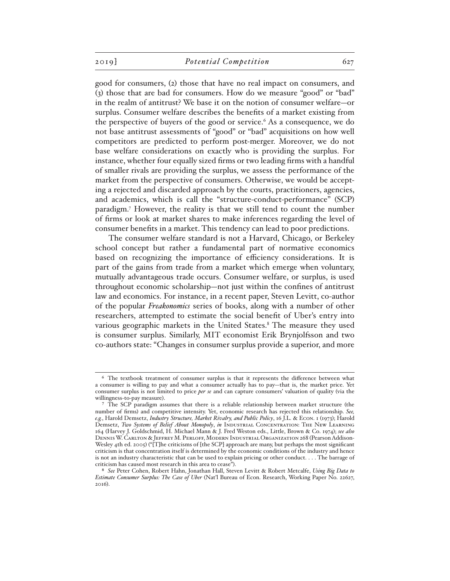good for consumers, (2) those that have no real impact on consumers, and (3) those that are bad for consumers. How do we measure "good" or "bad" in the realm of antitrust? We base it on the notion of consumer welfare—or surplus. Consumer welfare describes the benefits of a market existing from the perspective of buyers of the good or service.<sup>6</sup> As a consequence, we do not base antitrust assessments of "good" or "bad" acquisitions on how well competitors are predicted to perform post-merger. Moreover, we do not base welfare considerations on exactly who is providing the surplus. For instance, whether four equally sized firms or two leading firms with a handful of smaller rivals are providing the surplus, we assess the performance of the market from the perspective of consumers. Otherwise, we would be accepting a rejected and discarded approach by the courts, practitioners, agencies, and academics, which is call the "structure-conduct-performance" (SCP) paradigm.7 However, the reality is that we still tend to count the number of firms or look at market shares to make inferences regarding the level of consumer benefits in a market. This tendency can lead to poor predictions.

The consumer welfare standard is not a Harvard, Chicago, or Berkeley school concept but rather a fundamental part of normative economics based on recognizing the importance of efficiency considerations. It is part of the gains from trade from a market which emerge when voluntary, mutually advantageous trade occurs. Consumer welfare, or surplus, is used throughout economic scholarship—not just within the confines of antitrust law and economics. For instance, in a recent paper, Steven Levitt, co-author of the popular *Freakonomics* series of books, along with a number of other researchers, attempted to estimate the social benefit of Uber's entry into various geographic markets in the United States.<sup>8</sup> The measure they used is consumer surplus. Similarly, MIT economist Erik Brynjolfsson and two co-authors state: "Changes in consumer surplus provide a superior, and more

<sup>6</sup> The textbook treatment of consumer surplus is that it represents the difference between what a consumer is willing to pay and what a consumer actually has to pay—that is, the market price. Yet consumer surplus is not limited to price *per se* and can capture consumers' valuation of quality (via the willingness-to-pay measure).

<sup>7</sup> The SCP paradigm assumes that there is a reliable relationship between market structure (the number of firms) and competitive intensity. Yet, economic research has rejected this relationship. *See, e.g.*, Harold Demsetz, *Industry Structure, Market Rivalry, and Public Policy*, 16 J.L. & Econ. 1 (1973); Harold Demsetz, *Two Systems of Belief About Monopoly*, *in* INDUSTRIAL CONCENTRATION: THE NEW LEARNING 164 (Harvey J. Goldschmid, H. Michael Mann & J. Fred Weston eds., Little, Brown & Co. 1974); *see also* Dennis W. Carlton & Jeffrey M. Perloff, Modern Industrial Organization 268 (Pearson Addison-Wesley 4th ed. 2005) ("[T]he criticisms of [the SCP] approach are many, but perhaps the most significant criticism is that concentration itself is determined by the economic conditions of the industry and hence is not an industry characteristic that can be used to explain pricing or other conduct. . . . The barrage of criticism has caused most research in this area to cease").

<sup>8</sup> *See* Peter Cohen, Robert Hahn, Jonathan Hall, Steven Levitt & Robert Metcalfe, *Using Big Data to Estimate Consumer Surplus: The Case of Uber* (Nat'l Bureau of Econ. Research, Working Paper No. 22627, 2016).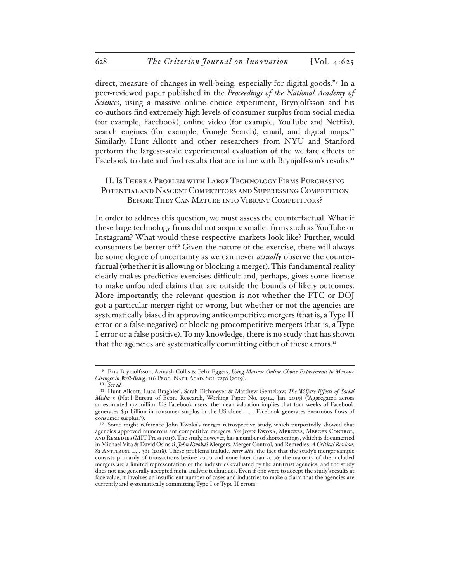direct, measure of changes in well-being, especially for digital goods."9 In a peer-reviewed paper published in the *Proceedings of the National Academy of Sciences*, using a massive online choice experiment, Brynjolfsson and his co-authors find extremely high levels of consumer surplus from social media (for example, Facebook), online video (for example, YouTube and Netflix), search engines (for example, Google Search), email, and digital maps.<sup>10</sup> Similarly, Hunt Allcott and other researchers from NYU and Stanford perform the largest-scale experimental evaluation of the welfare effects of Facebook to date and find results that are in line with Brynjolfsson's results.<sup>11</sup>

## II. Is There a Problem with Large Technology Firms Purchasing Potential and Nascent Competitors and Suppressing Competition BEFORE THEY CAN MATURE INTO VIBRANT COMPETITORS?

In order to address this question, we must assess the counterfactual. What if these large technology firms did not acquire smaller firms such as YouTube or Instagram? What would these respective markets look like? Further, would consumers be better off? Given the nature of the exercise, there will always be some degree of uncertainty as we can never *actually* observe the counterfactual (whether it is allowing or blocking a merger). This fundamental reality clearly makes predictive exercises difficult and, perhaps, gives some license to make unfounded claims that are outside the bounds of likely outcomes. More importantly, the relevant question is not whether the FTC or DOJ got a particular merger right or wrong, but whether or not the agencies are systematically biased in approving anticompetitive mergers (that is, a Type II error or a false negative) or blocking procompetitive mergers (that is, a Type I error or a false positive). To my knowledge, there is no study that has shown that the agencies are systematically committing either of these errors.<sup>12</sup>

<sup>9</sup> Erik Brynjolfsson, Avinash Collis & Felix Eggers, *Using Massive Online Choice Experiments to Measure*  Changes in Well-Being, 116 Proc. Nat'l Acad. Sci. 7250 (2019).

<sup>10</sup> *See id.*

<sup>11</sup> Hunt Allcott, Luca Braghieri, Sarah Eichmeyer & Matthew Gentzkow, *The Welfare Effects of Social Media* 5 (Nat'l Bureau of Econ. Research, Working Paper No. 25514, Jan. 2019) ("Aggregated across an estimated 172 million US Facebook users, the mean valuation implies that four weeks of Facebook generates \$31 billion in consumer surplus in the US alone. . . . Facebook generates enormous flows of consumer surplus.").

<sup>12</sup> Some might reference John Kwoka's merger retrospective study, which purportedly showed that agencies approved numerous anticompetitive mergers. *See* John Kwoka, Mergers, Merger Control, and Remedies (MIT Press 2015). The study, however, has a number of shortcomings, which is documented in Michael Vita & David Osinski, *John Kwoka's* Mergers, Merger Control, and Remedies*: A Critical Review*, 82 Antitrust L.J. 361 (2018). These problems include, *inter alia*, the fact that the study's merger sample consists primarily of transactions before 2000 and none later than 2006; the majority of the included mergers are a limited representation of the industries evaluated by the antitrust agencies; and the study does not use generally accepted meta-analytic techniques. Even if one were to accept the study's results at face value, it involves an insufficient number of cases and industries to make a claim that the agencies are currently and systematically committing Type I or Type II errors.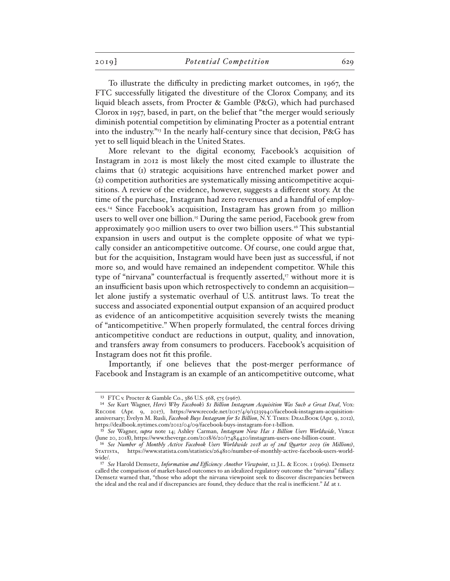To illustrate the difficulty in predicting market outcomes, in 1967, the FTC successfully litigated the divestiture of the Clorox Company, and its liquid bleach assets, from Procter & Gamble (P&G), which had purchased Clorox in 1957, based, in part, on the belief that "the merger would seriously diminish potential competition by eliminating Procter as a potential entrant into the industry.<sup>"13</sup> In the nearly half-century since that decision, P&G has yet to sell liquid bleach in the United States.

More relevant to the digital economy, Facebook's acquisition of Instagram in 2012 is most likely the most cited example to illustrate the claims that (1) strategic acquisitions have entrenched market power and (2) competition authorities are systematically missing anticompetitive acquisitions. A review of the evidence, however, suggests a different story. At the time of the purchase, Instagram had zero revenues and a handful of employees.14 Since Facebook's acquisition, Instagram has grown from 30 million users to well over one billion.15 During the same period, Facebook grew from approximately 900 million users to over two billion users.16 This substantial expansion in users and output is the complete opposite of what we typically consider an anticompetitive outcome. Of course, one could argue that, but for the acquisition, Instagram would have been just as successful, if not more so, and would have remained an independent competitor. While this type of "nirvana" counterfactual is frequently asserted, $\eta$  without more it is an insufficient basis upon which retrospectively to condemn an acquisition let alone justify a systematic overhaul of U.S. antitrust laws. To treat the success and associated exponential output expansion of an acquired product as evidence of an anticompetitive acquisition severely twists the meaning of "anticompetitive." When properly formulated, the central forces driving anticompetitive conduct are reductions in output, quality, and innovation, and transfers away from consumers to producers. Facebook's acquisition of Instagram does not fit this profile.

Importantly, if one believes that the post-merger performance of Facebook and Instagram is an example of an anticompetitive outcome, what

<sup>13</sup> FTC v. Procter & Gamble Co., 386 U.S. 568, 575 (1967).

<sup>14</sup> *See* Kurt Wagner, *Here's Why Facebook's \$1 Billion Instagram Acquisition Was Such a Great Deal*, Vox: RECODE (Apr. 9, 2017), https://www.recode.net/2017/4/9/15235940/facebook-instagram-acquisitionanniversary; Evelyn M. Rusli, *Facebook Buys Instagram for \$1 Billion*, N.Y. Times: DealBook (Apr. 9, 2012), https://dealbook.nytimes.com/2012/04/09/facebook-buys-instagram-for-1-billion.

<sup>15</sup> *See* Wagner, *supra* note 14; Ashley Carman, *Instagram Now Has 1 Billion Users Worldwide*, Verge (June 20, 2018), https://www.theverge.com/2018/6/20/17484420/instagram-users-one-billion-count.

<sup>16</sup> *See Number of Monthly Active Facebook Users Worldwide 2018 as of 2nd Quarter 2019 (in Millions)*, https://www.statista.com/statistics/264810/number-of-monthly-active-facebook-users-worldwide/.

<sup>17</sup> *See* Harold Demsetz, *Information and Efficiency: Another Viewpoint*, 12 J.L. & Econ. 1 (1969). Demsetz called the comparison of market-based outcomes to an idealized regulatory outcome the "nirvana" fallacy. Demsetz warned that, "those who adopt the nirvana viewpoint seek to discover discrepancies between the ideal and the real and if discrepancies are found, they deduce that the real is inefficient." *Id.* at 1.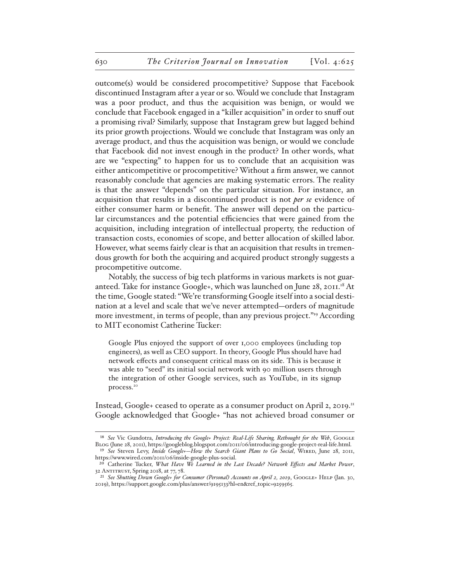outcome(s) would be considered procompetitive? Suppose that Facebook discontinued Instagram after a year or so. Would we conclude that Instagram was a poor product, and thus the acquisition was benign, or would we conclude that Facebook engaged in a "killer acquisition" in order to snuff out a promising rival? Similarly, suppose that Instagram grew but lagged behind its prior growth projections. Would we conclude that Instagram was only an average product, and thus the acquisition was benign, or would we conclude that Facebook did not invest enough in the product? In other words, what are we "expecting" to happen for us to conclude that an acquisition was either anticompetitive or procompetitive? Without a firm answer, we cannot reasonably conclude that agencies are making systematic errors. The reality is that the answer "depends" on the particular situation. For instance, an acquisition that results in a discontinued product is not *per se* evidence of either consumer harm or benefit. The answer will depend on the particular circumstances and the potential efficiencies that were gained from the acquisition, including integration of intellectual property, the reduction of transaction costs, economies of scope, and better allocation of skilled labor. However, what seems fairly clear is that an acquisition that results in tremendous growth for both the acquiring and acquired product strongly suggests a procompetitive outcome.

Notably, the success of big tech platforms in various markets is not guaranteed. Take for instance Google+, which was launched on June 28, 2011.<sup>18</sup> At the time, Google stated: "We're transforming Google itself into a social destination at a level and scale that we've never attempted—orders of magnitude more investment, in terms of people, than any previous project."19 According to MIT economist Catherine Tucker:

Google Plus enjoyed the support of over 1,000 employees (including top engineers), as well as CEO support. In theory, Google Plus should have had network effects and consequent critical mass on its side. This is because it was able to "seed" its initial social network with 90 million users through the integration of other Google services, such as YouTube, in its signup process.20

Instead, Google+ ceased to operate as a consumer product on April 2, 2019.<sup>21</sup> Google acknowledged that Google+ "has not achieved broad consumer or

<sup>&</sup>lt;sup>18</sup> See Vic Gundotra, *Introducing the Google+ Project: Real-Life Sharing, Rethought for the Web*, GOOGLE Blog (June 28, 2011), https://googleblog.blogspot.com/2011/06/introducing-google-project-real-life.html. <sup>19</sup> See Steven Levy, *Inside Google+-How the Search Giant Plans to Go Social*, WIRED, June 28, 2011,

https://www.wired.com/2011/06/inside-google-plus-social. 20 Catherine Tucker, *What Have We Learned in the Last Decade? Network Effects and Market Power*,

<sup>32</sup> ANTITRUST, Spring 2018, at 77, 78.

<sup>&</sup>lt;sup>21</sup> See Shutting Down Google+ for Consumer (Personal) Accounts on April 2, 2019, GOOGLE+ HELP (Jan. 30, 2019), https://support.google.com/plus/answer/9195133?hl=en&ref\_topic=9259565.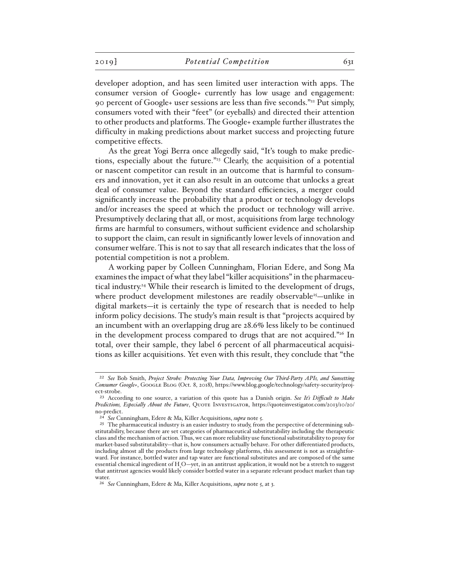developer adoption, and has seen limited user interaction with apps. The consumer version of Google+ currently has low usage and engagement: 90 percent of Google+ user sessions are less than five seconds."22 Put simply, consumers voted with their "feet" (or eyeballs) and directed their attention to other products and platforms. The Google+ example further illustrates the difficulty in making predictions about market success and projecting future competitive effects.

As the great Yogi Berra once allegedly said, "It's tough to make predictions, especially about the future."<sup>23</sup> Clearly, the acquisition of a potential or nascent competitor can result in an outcome that is harmful to consumers and innovation, yet it can also result in an outcome that unlocks a great deal of consumer value. Beyond the standard efficiencies, a merger could significantly increase the probability that a product or technology develops and/or increases the speed at which the product or technology will arrive. Presumptively declaring that all, or most, acquisitions from large technology firms are harmful to consumers, without sufficient evidence and scholarship to support the claim, can result in significantly lower levels of innovation and consumer welfare. This is not to say that all research indicates that the loss of potential competition is not a problem.

A working paper by Colleen Cunningham, Florian Edere, and Song Ma examines the impact of what they label "killer acquisitions" in the pharmaceutical industry.24 While their research is limited to the development of drugs, where product development milestones are readily observable<sup>25</sup>—unlike in digital markets—it is certainly the type of research that is needed to help inform policy decisions. The study's main result is that "projects acquired by an incumbent with an overlapping drug are 28.6% less likely to be continued in the development process compared to drugs that are not acquired."26 In total, over their sample, they label 6 percent of all pharmaceutical acquisitions as killer acquisitions. Yet even with this result, they conclude that "the

<sup>22</sup> *See* Bob Smith, *Project Strobe: Protecting Your Data, Improving Our Third-Party APIs, and Sunsetting Consumer Google+*, GOOGLE BLOG (Oct. 8, 2018), https://www.blog.google/technology/safety-security/project-strobe.

<sup>23</sup> According to one source, a variation of this quote has a Danish origin. *See It's Difficult to Make Predictions, Especially About the Future*, QUOTE INVESTIGATOR, https://quoteinvestigator.com/2013/10/20/ no-predict.

<sup>24</sup> *See* Cunningham, Edere & Ma, Killer Acquisitions, *supra* note 5.

<sup>&</sup>lt;sup>25</sup> The pharmaceutical industry is an easier industry to study, from the perspective of determining substitutability, because there are set categories of pharmaceutical substitutability including the therapeutic class and the mechanism of action. Thus, we can more reliability use functional substitutability to proxy for market-based substitutability—that is, how consumers actually behave. For other differentiated products, including almost all the products from large technology platforms, this assessment is not as straightforward. For instance, bottled water and tap water are functional substitutes and are composed of the same essential chemical ingredient of H<sub>2</sub>O-yet, in an antitrust application, it would not be a stretch to suggest that antitrust agencies would likely consider bottled water in a separate relevant product market than tap water.

<sup>26</sup> *See* Cunningham, Edere & Ma, Killer Acquisitions, *supra* note 5, at 3.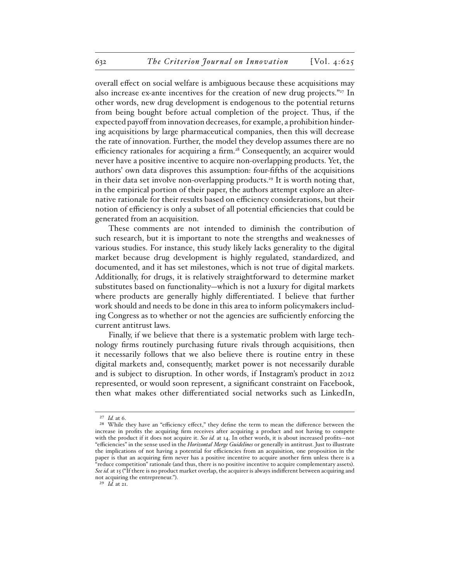overall effect on social welfare is ambiguous because these acquisitions may also increase ex-ante incentives for the creation of new drug projects."27 In other words, new drug development is endogenous to the potential returns from being bought before actual completion of the project. Thus, if the expected payoff from innovation decreases, for example, a prohibition hindering acquisitions by large pharmaceutical companies, then this will decrease the rate of innovation. Further, the model they develop assumes there are no efficiency rationales for acquiring a firm.<sup>28</sup> Consequently, an acquirer would never have a positive incentive to acquire non-overlapping products. Yet, the authors' own data disproves this assumption: four-fifths of the acquisitions in their data set involve non-overlapping products.29 It is worth noting that, in the empirical portion of their paper, the authors attempt explore an alternative rationale for their results based on efficiency considerations, but their notion of efficiency is only a subset of all potential efficiencies that could be generated from an acquisition.

These comments are not intended to diminish the contribution of such research, but it is important to note the strengths and weaknesses of various studies. For instance, this study likely lacks generality to the digital market because drug development is highly regulated, standardized, and documented, and it has set milestones, which is not true of digital markets. Additionally, for drugs, it is relatively straightforward to determine market substitutes based on functionality—which is not a luxury for digital markets where products are generally highly differentiated. I believe that further work should and needs to be done in this area to inform policymakers including Congress as to whether or not the agencies are sufficiently enforcing the current antitrust laws.

Finally, if we believe that there is a systematic problem with large technology firms routinely purchasing future rivals through acquisitions, then it necessarily follows that we also believe there is routine entry in these digital markets and, consequently, market power is not necessarily durable and is subject to disruption. In other words, if Instagram's product in 2012 represented, or would soon represent, a significant constraint on Facebook, then what makes other differentiated social networks such as LinkedIn,

29 *Id.* at 21.

<sup>27</sup> *Id.* at 6.

<sup>&</sup>lt;sup>28</sup> While they have an "efficiency effect," they define the term to mean the difference between the increase in profits the acquiring firm receives after acquiring a product and not having to compete with the product if it does not acquire it. *See id.* at 14. In other words, it is about increased profits—not "efficiencies" in the sense used in the *Horizontal Merge Guidelines* or generally in antitrust. Just to illustrate the implications of not having a potential for efficiencies from an acquisition, one proposition in the paper is that an acquiring firm never has a positive incentive to acquire another firm unless there is a "reduce competition" rationale (and thus, there is no positive incentive to acquire complementary assets). *See id.* at 15 ("If there is no product market overlap, the acquirer is always indifferent between acquiring and not acquiring the entrepreneur.").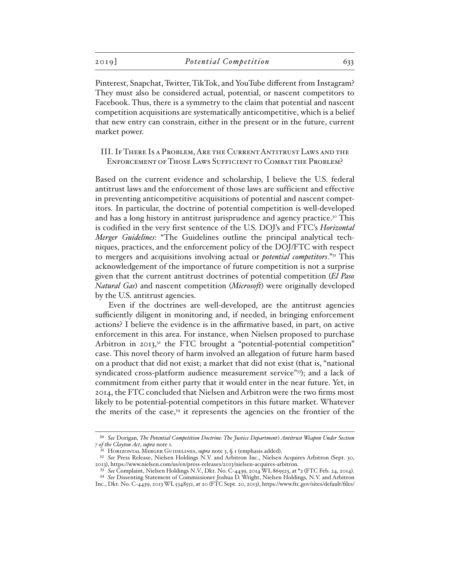Pinterest, Snapchat, Twitter, TikTok, and YouTube different from Instagram? They must also be considered actual, potential, or nascent competitors to Facebook. Thus, there is a symmetry to the claim that potential and nascent competition acquisitions are systematically anticompetitive, which is a belief that new entry can constrain, either in the present or in the future, current market power.

### III. If There Is a Problem, Are the Current Antitrust Laws and the Enforcement of Those Laws Sufficient to Combat the Problem?

Based on the current evidence and scholarship, I believe the U.S. federal antitrust laws and the enforcement of those laws are sufficient and effective in preventing anticompetitive acquisitions of potential and nascent competitors. In particular, the doctrine of potential competition is well-developed and has a long history in antitrust jurisprudence and agency practice.<sup>30</sup> This is codified in the very first sentence of the U.S. DOJ's and FTC's *Horizontal Merger Guidelines*: "The Guidelines outline the principal analytical techniques, practices, and the enforcement policy of the DOJ/FTC with respect to mergers and acquisitions involving actual or *potential competitors*."31 This acknowledgement of the importance of future competition is not a surprise given that the current antitrust doctrines of potential competition (*El Paso Natural Gas*) and nascent competition (*Microsoft*) were originally developed by the U.S. antitrust agencies.

Even if the doctrines are well-developed, are the antitrust agencies sufficiently diligent in monitoring and, if needed, in bringing enforcement actions? I believe the evidence is in the affirmative based, in part, on active enforcement in this area. For instance, when Nielsen proposed to purchase Arbitron in 2013, $32$  the FTC brought a "potential-potential competition" case. This novel theory of harm involved an allegation of future harm based on a product that did not exist; a market that did not exist (that is, "national syndicated cross-platform audience measurement service"33); and a lack of commitment from either party that it would enter in the near future. Yet, in 2014, the FTC concluded that Nielsen and Arbitron were the two firms most likely to be potential-potential competitors in this future market. Whatever the merits of the case, $34$  it represents the agencies on the frontier of the

<sup>30</sup> *See* Dorigan, *The Potential Competition Doctrine: The Justice Department's Antitrust Weapon Under Section 7 of the Clayton Act*, *supra* note 1.

<sup>&</sup>lt;sup>31</sup> HORIZONTAL MERGER GUIDELINES, *supra* note 3, § 1 (emphasis added).

<sup>32</sup> *See* Press Release, Nielsen Holdings N.V. and Arbitron Inc., Nielsen Acquires Arbitron (Sept. 30, 2013), https://www.nielsen.com/us/en/press-releases/2013/nielsen-acquires-arbitron.

<sup>33</sup> *See* Complaint, Nielsen Holdings N.V., Dkt. No. C-4439, 2014 WL 869523, at \*2 (FTC Feb. 24, 2014). 34 *See* Dissenting Statement of Commissioner Joshua D. Wright, Nielsen Holdings, N.V. and Arbitron Inc., Dkt. No. C-4439, 2013 WL 5348551, at 20 (FTC Sept. 20, 2013), https://www.ftc.gov/sites/default/files/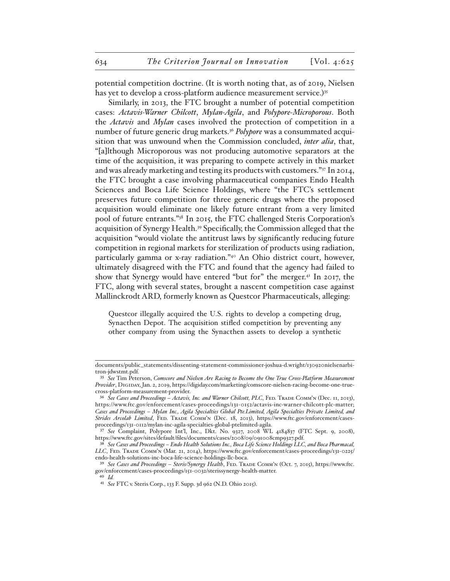potential competition doctrine. (It is worth noting that, as of 2019, Nielsen has yet to develop a cross-platform audience measurement service.)<sup>35</sup>

Similarly, in 2013, the FTC brought a number of potential competition cases: *Actavis-Warner Chilcott*, *Mylan-Agila*, and *Polypore-Microporous*. Both the *Actavis* and *Mylan* cases involved the protection of competition in a number of future generic drug markets.36 *Polypore* was a consummated acquisition that was unwound when the Commission concluded, *inter alia*, that, "[a]lthough Microporous was not producing automotive separators at the time of the acquisition, it was preparing to compete actively in this market and was already marketing and testing its products with customers."37 In 2014, the FTC brought a case involving pharmaceutical companies Endo Health Sciences and Boca Life Science Holdings, where "the FTC's settlement preserves future competition for three generic drugs where the proposed acquisition would eliminate one likely future entrant from a very limited pool of future entrants."38 In 2015, the FTC challenged Steris Corporation's acquisition of Synergy Health.39 Specifically, the Commission alleged that the acquisition "would violate the antitrust laws by significantly reducing future competition in regional markets for sterilization of products using radiation, particularly gamma or x-ray radiation."40 An Ohio district court, however, ultimately disagreed with the FTC and found that the agency had failed to show that Synergy would have entered "but for" the merger.41 In 2017, the FTC, along with several states, brought a nascent competition case against Mallinckrodt ARD, formerly known as Questcor Pharmaceuticals, alleging:

Questcor illegally acquired the U.S. rights to develop a competing drug, Synacthen Depot. The acquisition stifled competition by preventing any other company from using the Synacthen assets to develop a synthetic

documents/public\_statements/dissenting-statement-commissioner-joshua-d.wright/130920nielsenarbitron-jdwstmt.pdf.

<sup>35</sup> *See* Tim Peterson, *Comscore and Nielsen Are Racing to Become the One True Cross-Platform Measurement Provider*, Digiday, Jan. 2, 2019, https://digiday.com/marketing/comscore-nielsen-racing-become-one-truecross-platform-measurement-provider.

<sup>36</sup> *See Cases and Proceedings – Actavis, Inc. and Warner Chilcott, PLC*, Fed. Trade Comm'n (Dec. 11, 2013), https://www.ftc.gov/enforcement/cases-proceedings/131-0152/actavis-inc-warner-chilcott-plc-matter; *Cases and Proceedings – Mylan Inc., Agila Specialties Global Pte.Limited, Agila Specialties Private Limited, and*  Strides Arcolab Limited, FED. Ткаре Сомм'N (Dec. 18, 2013), https://www.ftc.gov/enforcement/casesproceedings/131-0112/mylan-inc-agila-specialties-global-ptelimited-agila.

<sup>37</sup> *See* Complaint, Polypore Int'l, Inc., Dkt. No. 9327, 2008 WL 4184837 (FTC Sept. 9, 2008), https://www.ftc.gov/sites/default/files/documents/cases/2008/09/091008cmp9327.pdf.

<sup>38</sup> *See Cases and Proceedings – Endo Health Solutions Inc., Boca Life Science Holdings LLC, and Boca Pharmacal, LLC*, Fed. Trade Comm'n (Mar. 21, 2014), https://www.ftc.gov/enforcement/cases-proceedings/131-0225/ endo-health-solutions-inc-boca-life-science-holdings-llc-boca.

<sup>39</sup> *See Cases and Proceedings – Steris/Synergy Health*, Fed. Trade Comm'n (Oct. 7, 2015), https://www.ftc. gov/enforcement/cases-proceedings/151-0032/sterissynergy-health-matter. 40 *Id.*

<sup>41</sup> *See* FTC v. Steris Corp., 133 F. Supp. 3d 962 (N.D. Ohio 2015).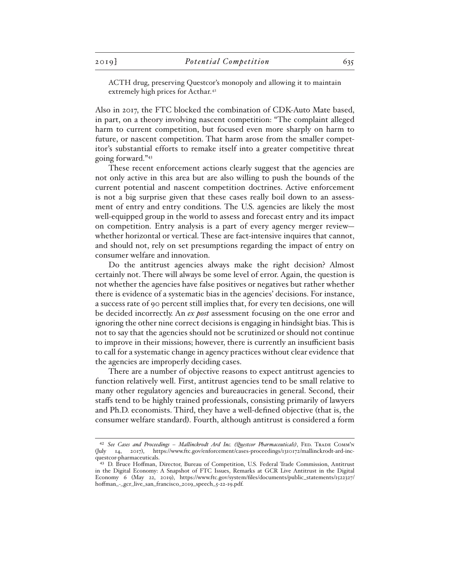ACTH drug, preserving Questcor's monopoly and allowing it to maintain extremely high prices for Acthar.<sup>42</sup>

Also in 2017, the FTC blocked the combination of CDK-Auto Mate based, in part, on a theory involving nascent competition: "The complaint alleged harm to current competition, but focused even more sharply on harm to future, or nascent competition. That harm arose from the smaller competitor's substantial efforts to remake itself into a greater competitive threat going forward."43

These recent enforcement actions clearly suggest that the agencies are not only active in this area but are also willing to push the bounds of the current potential and nascent competition doctrines. Active enforcement is not a big surprise given that these cases really boil down to an assessment of entry and entry conditions. The U.S. agencies are likely the most well-equipped group in the world to assess and forecast entry and its impact on competition. Entry analysis is a part of every agency merger review whether horizontal or vertical. These are fact-intensive inquires that cannot, and should not, rely on set presumptions regarding the impact of entry on consumer welfare and innovation.

Do the antitrust agencies always make the right decision? Almost certainly not. There will always be some level of error. Again, the question is not whether the agencies have false positives or negatives but rather whether there is evidence of a systematic bias in the agencies' decisions. For instance, a success rate of 90 percent still implies that, for every ten decisions, one will be decided incorrectly. An *ex post* assessment focusing on the one error and ignoring the other nine correct decisions is engaging in hindsight bias. This is not to say that the agencies should not be scrutinized or should not continue to improve in their missions; however, there is currently an insufficient basis to call for a systematic change in agency practices without clear evidence that the agencies are improperly deciding cases.

There are a number of objective reasons to expect antitrust agencies to function relatively well. First, antitrust agencies tend to be small relative to many other regulatory agencies and bureaucracies in general. Second, their staffs tend to be highly trained professionals, consisting primarily of lawyers and Ph.D. economists. Third, they have a well-defined objective (that is, the consumer welfare standard). Fourth, although antitrust is considered a form

<sup>&</sup>lt;sup>42</sup> See Cases and Proceedings - Mallinckrodt Ard Inc. (Questcor Pharmaceuticals), FED. TRADE COMM'N (July 14, 2017), https://www.ftc.gov/enforcement/cases-proceedings/1310172/mallinckrodt-ard-incquestcor-pharmaceuticals.

<sup>43</sup> D. Bruce Hoffman, Director, Bureau of Competition, U.S. Federal Trade Commission, Antitrust in the Digital Economy: A Snapshot of FTC Issues, Remarks at GCR Live Antitrust in the Digital Economy 6 (May 22, 2019), https://www.ftc.gov/system/files/documents/public\_statements/1522327/ hoffman\_-\_gcr\_live\_san\_francisco\_2019\_speech\_5-22-19.pdf.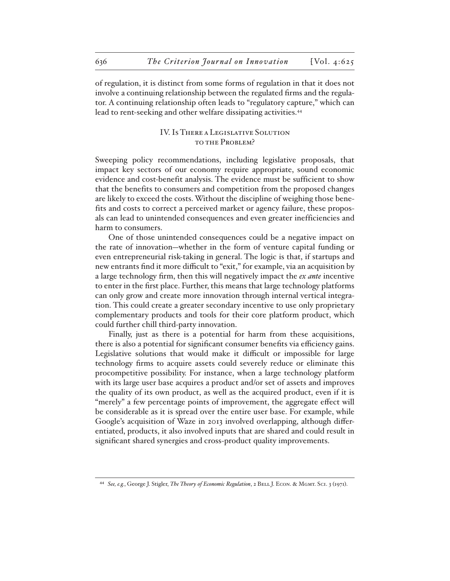of regulation, it is distinct from some forms of regulation in that it does not involve a continuing relationship between the regulated firms and the regulator. A continuing relationship often leads to "regulatory capture," which can lead to rent-seeking and other welfare dissipating activities.<sup>44</sup>

### IV. Is There a Legislative Solution to the Problem?

Sweeping policy recommendations, including legislative proposals, that impact key sectors of our economy require appropriate, sound economic evidence and cost-benefit analysis. The evidence must be sufficient to show that the benefits to consumers and competition from the proposed changes are likely to exceed the costs. Without the discipline of weighing those benefits and costs to correct a perceived market or agency failure, these proposals can lead to unintended consequences and even greater inefficiencies and harm to consumers.

One of those unintended consequences could be a negative impact on the rate of innovation—whether in the form of venture capital funding or even entrepreneurial risk-taking in general. The logic is that, if startups and new entrants find it more difficult to "exit," for example, via an acquisition by a large technology firm, then this will negatively impact the *ex ante* incentive to enter in the first place. Further, this means that large technology platforms can only grow and create more innovation through internal vertical integration. This could create a greater secondary incentive to use only proprietary complementary products and tools for their core platform product, which could further chill third-party innovation.

Finally, just as there is a potential for harm from these acquisitions, there is also a potential for significant consumer benefits via efficiency gains. Legislative solutions that would make it difficult or impossible for large technology firms to acquire assets could severely reduce or eliminate this procompetitive possibility. For instance, when a large technology platform with its large user base acquires a product and/or set of assets and improves the quality of its own product, as well as the acquired product, even if it is "merely" a few percentage points of improvement, the aggregate effect will be considerable as it is spread over the entire user base. For example, while Google's acquisition of Waze in 2013 involved overlapping, although differentiated, products, it also involved inputs that are shared and could result in significant shared synergies and cross-product quality improvements.

<sup>44</sup> *See, e.g.*, George J. Stigler, *The Theory of Economic Regulation*, 2 BELL J. ECON. & MGMT. SCI. 3 (1971).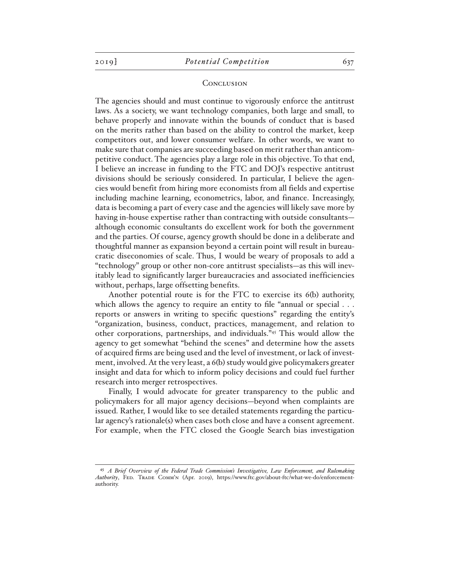#### **CONCLUSION**

The agencies should and must continue to vigorously enforce the antitrust laws. As a society, we want technology companies, both large and small, to behave properly and innovate within the bounds of conduct that is based on the merits rather than based on the ability to control the market, keep competitors out, and lower consumer welfare. In other words, we want to make sure that companies are succeeding based on merit rather than anticompetitive conduct. The agencies play a large role in this objective. To that end, I believe an increase in funding to the FTC and DOJ's respective antitrust divisions should be seriously considered. In particular, I believe the agencies would benefit from hiring more economists from all fields and expertise including machine learning, econometrics, labor, and finance. Increasingly, data is becoming a part of every case and the agencies will likely save more by having in-house expertise rather than contracting with outside consultants although economic consultants do excellent work for both the government and the parties. Of course, agency growth should be done in a deliberate and thoughtful manner as expansion beyond a certain point will result in bureaucratic diseconomies of scale. Thus, I would be weary of proposals to add a "technology" group or other non-core antitrust specialists—as this will inevitably lead to significantly larger bureaucracies and associated inefficiencies without, perhaps, large offsetting benefits.

Another potential route is for the FTC to exercise its 6(b) authority, which allows the agency to require an entity to file "annual or special . . . reports or answers in writing to specific questions" regarding the entity's "organization, business, conduct, practices, management, and relation to other corporations, partnerships, and individuals."45 This would allow the agency to get somewhat "behind the scenes" and determine how the assets of acquired firms are being used and the level of investment, or lack of investment, involved. At the very least, a 6(b) study would give policymakers greater insight and data for which to inform policy decisions and could fuel further research into merger retrospectives.

Finally, I would advocate for greater transparency to the public and policymakers for all major agency decisions—beyond when complaints are issued. Rather, I would like to see detailed statements regarding the particular agency's rationale(s) when cases both close and have a consent agreement. For example, when the FTC closed the Google Search bias investigation

<sup>45</sup> *A Brief Overview of the Federal Trade Commission's Investigative, Law Enforcement, and Rulemaking Authority*, Fed. Trade Comm'n (Apr. 2019), https://www.ftc.gov/about-ftc/what-we-do/enforcementauthority.